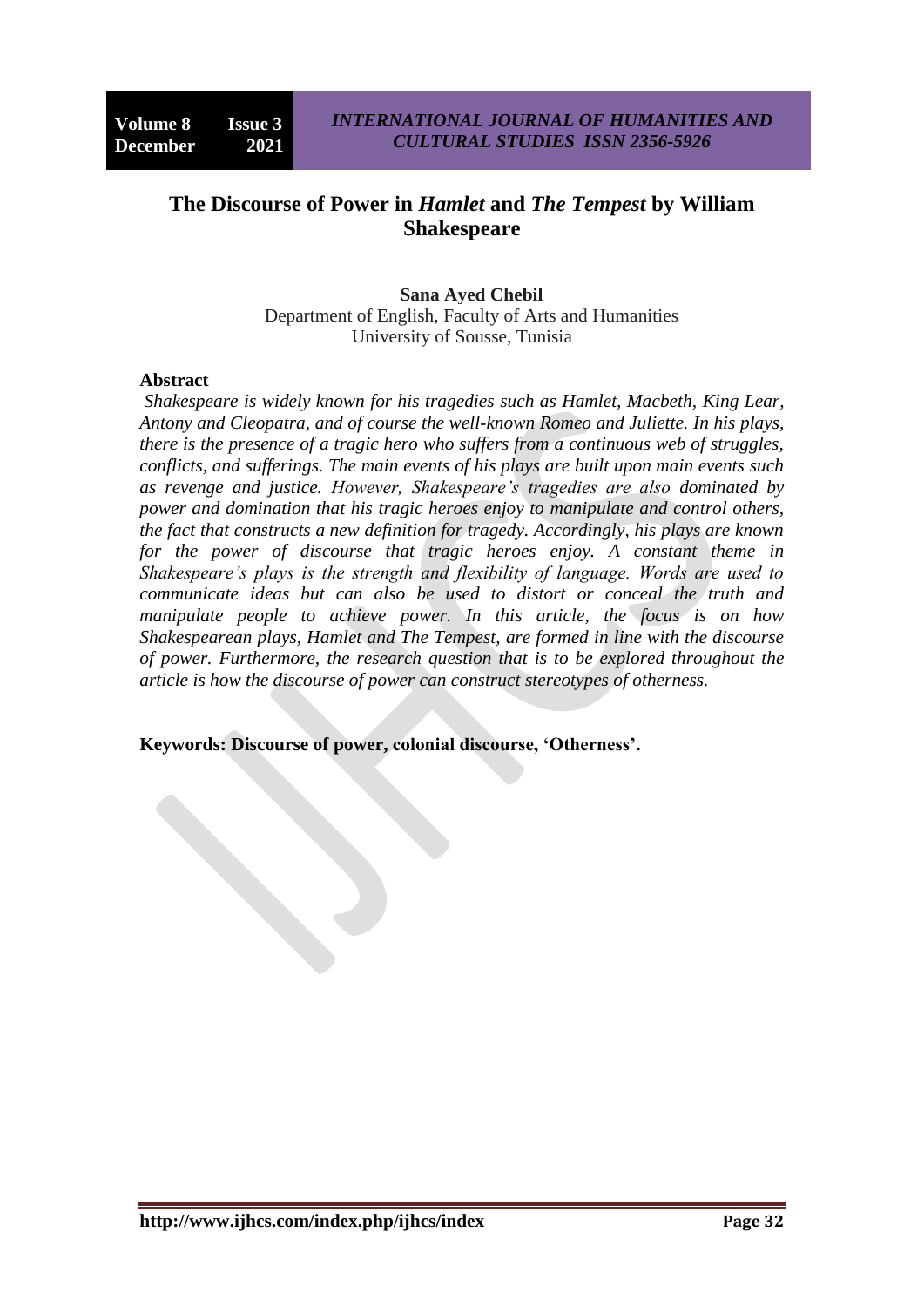# **The Discourse of Power in** *Hamlet* **and** *The Tempest* **by William Shakespeare**

## **Sana Ayed Chebil**

Department of English, Faculty of Arts and Humanities University of Sousse, Tunisia

#### **Abstract**

*Shakespeare is widely known for his tragedies such as Hamlet, Macbeth, King Lear, Antony and Cleopatra, and of course the well-known Romeo and Juliette. In his plays, there is the presence of a tragic hero who suffers from a continuous web of struggles, conflicts, and sufferings. The main events of his plays are built upon main events such as revenge and justice. However, Shakespeare's tragedies are also dominated by power and domination that his tragic heroes enjoy to manipulate and control others, the fact that constructs a new definition for tragedy. Accordingly, his plays are known for the power of discourse that tragic heroes enjoy. A constant theme in Shakespeare's plays is the strength and flexibility of language. Words are used to communicate ideas but can also be used to distort or conceal the truth and manipulate people to achieve power. In this article, the focus is on how Shakespearean plays, Hamlet and The Tempest, are formed in line with the discourse of power. Furthermore, the research question that is to be explored throughout the article is how the discourse of power can construct stereotypes of otherness.* 

**Keywords: Discourse of power, colonial discourse, 'Otherness'.**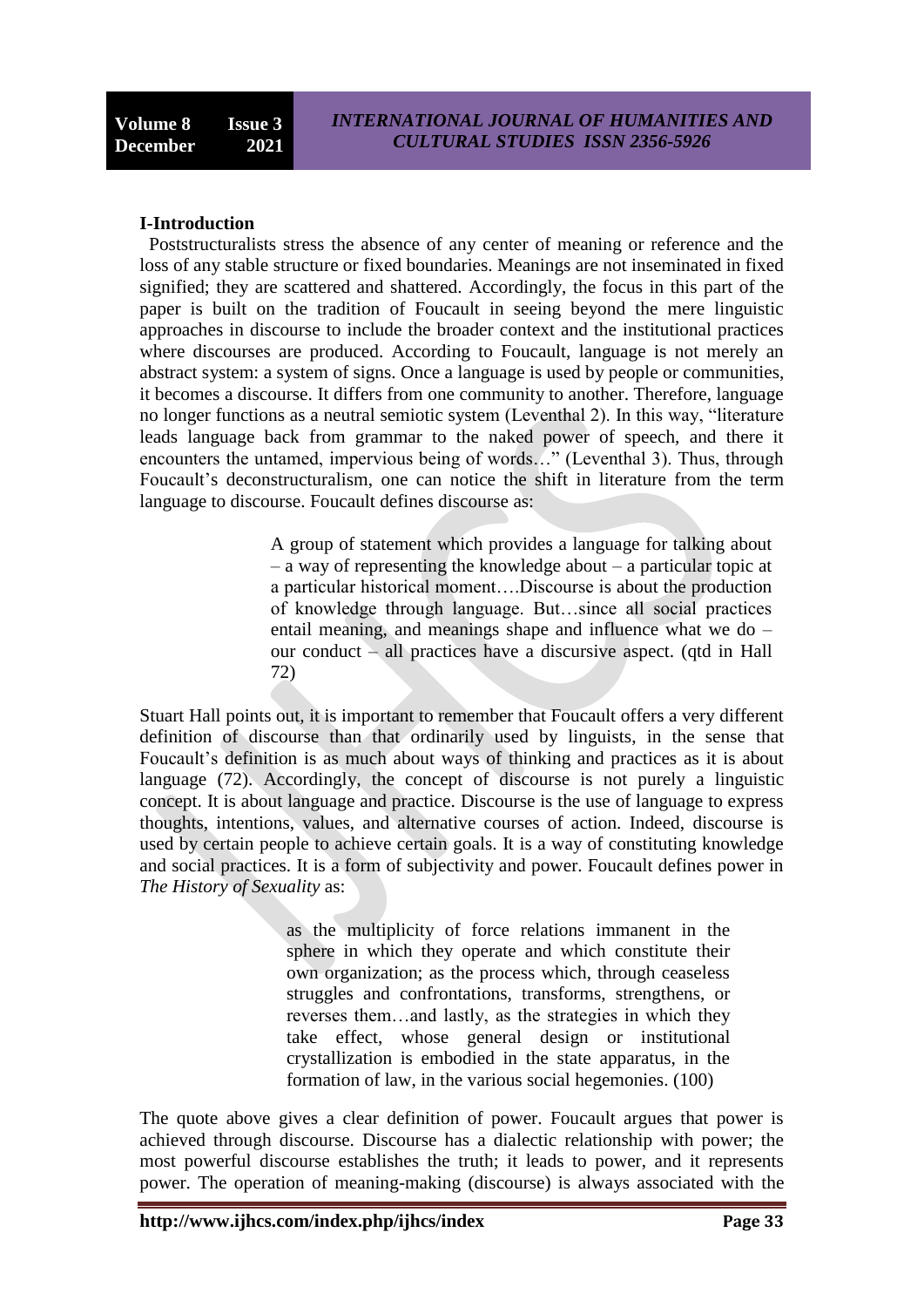#### **I-Introduction**

Poststructuralists stress the absence of any center of meaning or reference and the loss of any stable structure or fixed boundaries. Meanings are not inseminated in fixed signified; they are scattered and shattered. Accordingly, the focus in this part of the paper is built on the tradition of Foucault in seeing beyond the mere linguistic approaches in discourse to include the broader context and the institutional practices where discourses are produced. According to Foucault, language is not merely an abstract system: a system of signs. Once a language is used by people or communities, it becomes a discourse. It differs from one community to another. Therefore, language no longer functions as a neutral semiotic system (Leventhal 2). In this way, "literature leads language back from grammar to the naked power of speech, and there it encounters the untamed, impervious being of words…" (Leventhal 3). Thus, through Foucault's deconstructuralism, one can notice the shift in literature from the term language to discourse. Foucault defines discourse as:

> A group of statement which provides a language for talking about – a way of representing the knowledge about – a particular topic at a particular historical moment….Discourse is about the production of knowledge through language. But…since all social practices entail meaning, and meanings shape and influence what we do – our conduct – all practices have a discursive aspect. (qtd in Hall 72)

Stuart Hall points out, it is important to remember that Foucault offers a very different definition of discourse than that ordinarily used by linguists, in the sense that Foucault's definition is as much about ways of thinking and practices as it is about language (72). Accordingly, the concept of discourse is not purely a linguistic concept. It is about language and practice. Discourse is the use of language to express thoughts, intentions, values, and alternative courses of action. Indeed, discourse is used by certain people to achieve certain goals. It is a way of constituting knowledge and social practices. It is a form of subjectivity and power. Foucault defines power in *The History of Sexuality* as:

> as the multiplicity of force relations immanent in the sphere in which they operate and which constitute their own organization; as the process which, through ceaseless struggles and confrontations, transforms, strengthens, or reverses them…and lastly, as the strategies in which they take effect, whose general design or institutional crystallization is embodied in the state apparatus, in the formation of law, in the various social hegemonies. (100)

The quote above gives a clear definition of power. Foucault argues that power is achieved through discourse. Discourse has a dialectic relationship with power; the most powerful discourse establishes the truth; it leads to power, and it represents power. The operation of meaning-making (discourse) is always associated with the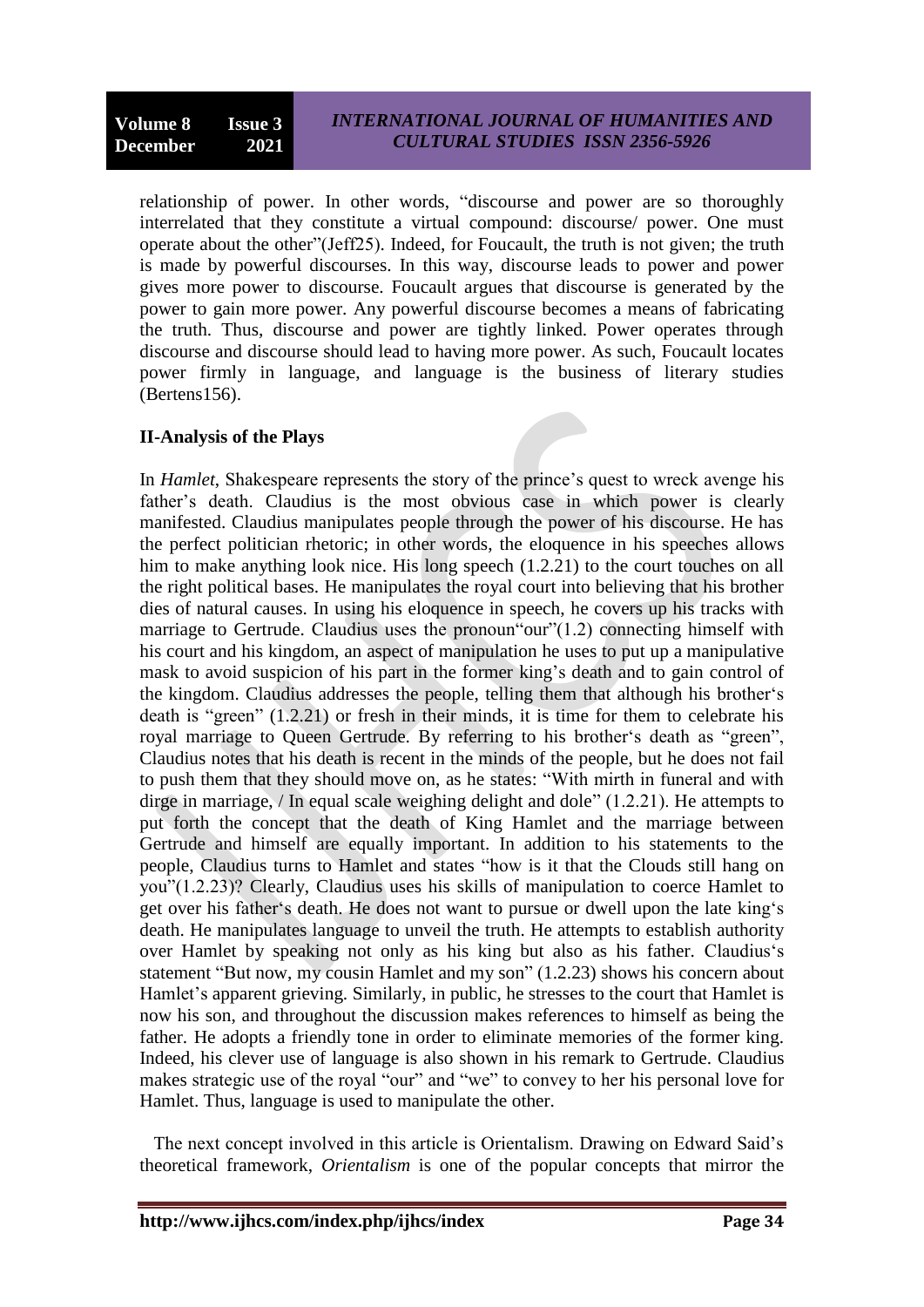relationship of power. In other words, "discourse and power are so thoroughly interrelated that they constitute a virtual compound: discourse/ power. One must operate about the other"(Jeff25). Indeed, for Foucault, the truth is not given; the truth is made by powerful discourses. In this way, discourse leads to power and power gives more power to discourse. Foucault argues that discourse is generated by the power to gain more power. Any powerful discourse becomes a means of fabricating the truth. Thus, discourse and power are tightly linked. Power operates through discourse and discourse should lead to having more power. As such, Foucault locates power firmly in language, and language is the business of literary studies (Bertens156).

# **II-Analysis of the Plays**

In *Hamlet*, Shakespeare represents the story of the prince"s quest to wreck avenge his father"s death. Claudius is the most obvious case in which power is clearly manifested. Claudius manipulates people through the power of his discourse. He has the perfect politician rhetoric; in other words, the eloquence in his speeches allows him to make anything look nice. His long speech (1.2.21) to the court touches on all the right political bases. He manipulates the royal court into believing that his brother dies of natural causes. In using his eloquence in speech, he covers up his tracks with marriage to Gertrude. Claudius uses the pronoun "our"(1.2) connecting himself with his court and his kingdom, an aspect of manipulation he uses to put up a manipulative mask to avoid suspicion of his part in the former king"s death and to gain control of the kingdom. Claudius addresses the people, telling them that although his brother"s death is "green" (1.2.21) or fresh in their minds, it is time for them to celebrate his royal marriage to Queen Gertrude. By referring to his brother's death as "green", Claudius notes that his death is recent in the minds of the people, but he does not fail to push them that they should move on, as he states: "With mirth in funeral and with dirge in marriage, / In equal scale weighing delight and dole" (1.2.21). He attempts to put forth the concept that the death of King Hamlet and the marriage between Gertrude and himself are equally important. In addition to his statements to the people, Claudius turns to Hamlet and states "how is it that the Clouds still hang on you"(1.2.23)? Clearly, Claudius uses his skills of manipulation to coerce Hamlet to get over his father"s death. He does not want to pursue or dwell upon the late king"s death. He manipulates language to unveil the truth. He attempts to establish authority over Hamlet by speaking not only as his king but also as his father. Claudius"s statement "But now, my cousin Hamlet and my son" (1.2.23) shows his concern about Hamlet's apparent grieving. Similarly, in public, he stresses to the court that Hamlet is now his son, and throughout the discussion makes references to himself as being the father. He adopts a friendly tone in order to eliminate memories of the former king. Indeed, his clever use of language is also shown in his remark to Gertrude. Claudius makes strategic use of the royal "our" and "we" to convey to her his personal love for Hamlet. Thus, language is used to manipulate the other.

 The next concept involved in this article is Orientalism. Drawing on Edward Said"s theoretical framework, *Orientalism* is one of the popular concepts that mirror the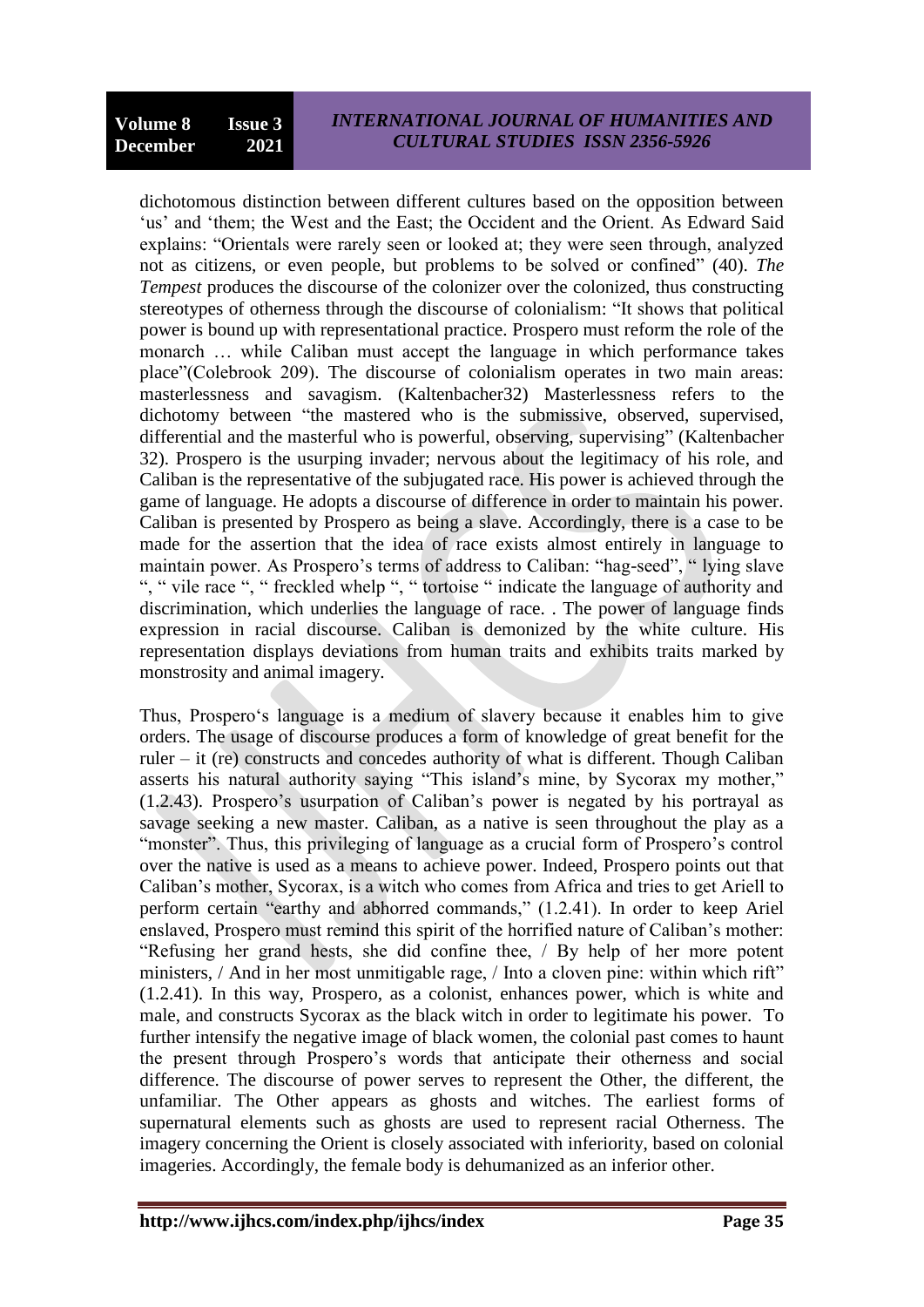dichotomous distinction between different cultures based on the opposition between 'us' and 'them; the West and the East; the Occident and the Orient. As Edward Said explains: "Orientals were rarely seen or looked at; they were seen through, analyzed not as citizens, or even people, but problems to be solved or confined" (40). *The Tempest* produces the discourse of the colonizer over the colonized, thus constructing stereotypes of otherness through the discourse of colonialism: "It shows that political power is bound up with representational practice. Prospero must reform the role of the monarch … while Caliban must accept the language in which performance takes place"(Colebrook 209). The discourse of colonialism operates in two main areas: masterlessness and savagism. (Kaltenbacher32) Masterlessness refers to the dichotomy between "the mastered who is the submissive, observed, supervised, differential and the masterful who is powerful, observing, supervising" (Kaltenbacher 32). Prospero is the usurping invader; nervous about the legitimacy of his role, and Caliban is the representative of the subjugated race. His power is achieved through the game of language. He adopts a discourse of difference in order to maintain his power. Caliban is presented by Prospero as being a slave. Accordingly, there is a case to be made for the assertion that the idea of race exists almost entirely in language to maintain power. As Prospero's terms of address to Caliban: "hag-seed", " lying slave ", " vile race ", " freckled whelp ", " tortoise " indicate the language of authority and discrimination, which underlies the language of race. . The power of language finds expression in racial discourse. Caliban is demonized by the white culture. His representation displays deviations from human traits and exhibits traits marked by monstrosity and animal imagery.

Thus, Prospero's language is a medium of slavery because it enables him to give orders. The usage of discourse produces a form of knowledge of great benefit for the ruler – it (re) constructs and concedes authority of what is different. Though Caliban asserts his natural authority saying "This island's mine, by Sycorax my mother," (1.2.43). Prospero"s usurpation of Caliban"s power is negated by his portrayal as savage seeking a new master. Caliban, as a native is seen throughout the play as a "monster". Thus, this privileging of language as a crucial form of Prospero's control over the native is used as a means to achieve power. Indeed, Prospero points out that Caliban"s mother, Sycorax, is a witch who comes from Africa and tries to get Ariell to perform certain "earthy and abhorred commands," (1.2.41). In order to keep Ariel enslaved, Prospero must remind this spirit of the horrified nature of Caliban"s mother: "Refusing her grand hests, she did confine thee, / By help of her more potent ministers, / And in her most unmitigable rage, / Into a cloven pine: within which rift" (1.2.41). In this way, Prospero, as a colonist, enhances power, which is white and male, and constructs Sycorax as the black witch in order to legitimate his power. To further intensify the negative image of black women, the colonial past comes to haunt the present through Prospero"s words that anticipate their otherness and social difference. The discourse of power serves to represent the Other, the different, the unfamiliar. The Other appears as ghosts and witches. The earliest forms of supernatural elements such as ghosts are used to represent racial Otherness. The imagery concerning the Orient is closely associated with inferiority, based on colonial imageries. Accordingly, the female body is dehumanized as an inferior other.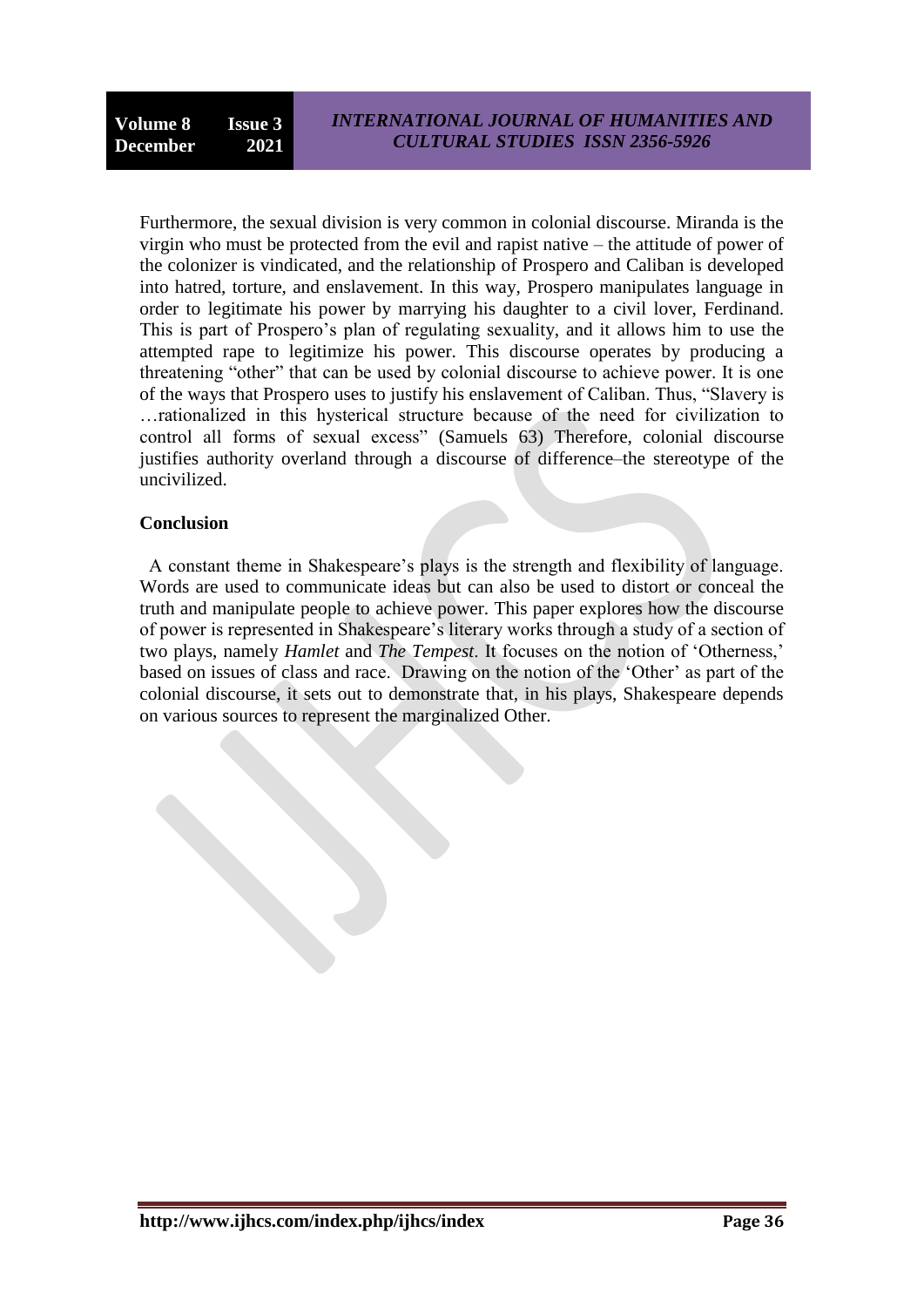Furthermore, the sexual division is very common in colonial discourse. Miranda is the virgin who must be protected from the evil and rapist native – the attitude of power of the colonizer is vindicated, and the relationship of Prospero and Caliban is developed into hatred, torture, and enslavement. In this way, Prospero manipulates language in order to legitimate his power by marrying his daughter to a civil lover, Ferdinand. This is part of Prospero"s plan of regulating sexuality, and it allows him to use the attempted rape to legitimize his power. This discourse operates by producing a threatening "other" that can be used by colonial discourse to achieve power. It is one of the ways that Prospero uses to justify his enslavement of Caliban. Thus, "Slavery is …rationalized in this hysterical structure because of the need for civilization to control all forms of sexual excess" (Samuels 63) Therefore, colonial discourse justifies authority overland through a discourse of difference—the stereotype of the uncivilized.

### **Conclusion**

 A constant theme in Shakespeare"s plays is the strength and flexibility of language. Words are used to communicate ideas but can also be used to distort or conceal the truth and manipulate people to achieve power. This paper explores how the discourse of power is represented in Shakespeare"s literary works through a study of a section of two plays, namely *Hamlet* and *The Tempest*. It focuses on the notion of "Otherness," based on issues of class and race. Drawing on the notion of the "Other" as part of the colonial discourse, it sets out to demonstrate that, in his plays, Shakespeare depends on various sources to represent the marginalized Other.